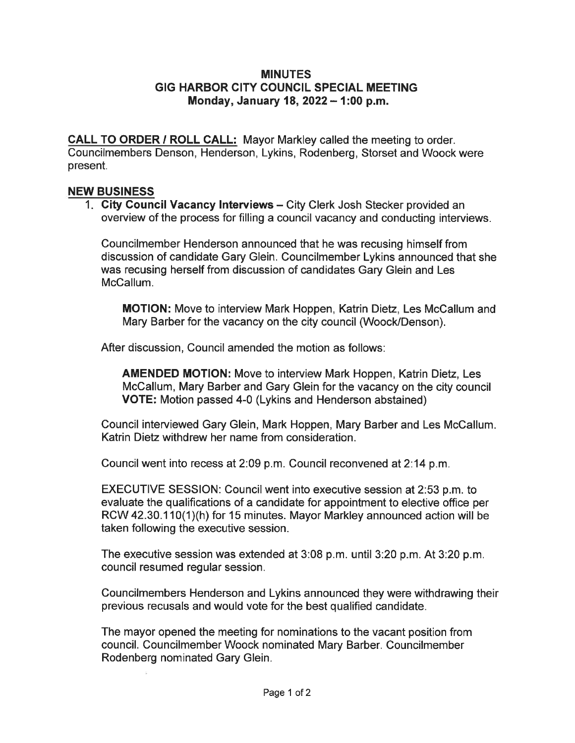## MINUTES GIG HARBOR CITY COUNCIL SPECIAL MEETING Monday, January 18, 2022  $-$  1:00 p.m.

CALL TO ORDER / ROLL CALL: Mayor Markley called the meeting to order. Councilmembers Denson, Henderson, Lykins, Rodenberg, Storset and Woock were present.

## NEW BUSINESS

1. City Council Vacancy Interviews – City Clerk Josh Stecker provided an overview of the process for filling a council vacancy and conducting interviews.

Councilmember Henderson announced that he was recusing himself from discussion of candidate Gary Glein. Councilmember Lykins announced that she was recusing herself from discussion of candidates Gary Glein and Les McCallum.

MOTION: Move to interview Mark Happen, Katrin Dietz, Les McCallum and Mary Barber for the vacancy on the city council (Woock/Denson).

After discussion, Council amended the motion as follows:

AMENDED MOTION: Move to interview Mark Happen, Katrin Dietz, Les McCallum, Mary Barber and Gary Glein for the vacancy on the city council VOTE: Motion passed 4-0 (Lykins and Henderson abstained)

Council interviewed Gary Glein, Mark Hoppen, Mary Barber and Les McCallum. Katrin Dietz withdrew her name from consideration.

Council went into recess at 2:09 p. m. Council reconvened at 2:14 p. m.

EXECUTIVE SESSION: Council went into executive session at 2:53 p. m. to evaluate the qualifications of a candidate for appointment to elective office per RCW42. 30. 110(1)(h) for 15 minutes. Mayor Markley announced action will be taken following the executive session.

The executive session was extended at 3:08 p. m. until 3:20 p. m. At 3:20 p. m. council resumed regular session.

Councilmembers Henderson and Lykins announced they were withdrawing their previous recusals and would vote for the best qualified candidate.

The mayor opened the meeting for nominations to the vacant position from council. CouncilmemberWoock nominated Mary Barber. Councilmember Rodenberg nominated Gary Glein.